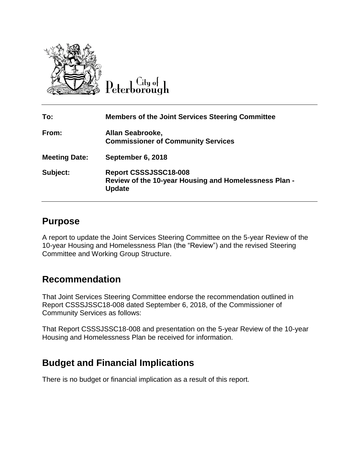

 $C$ ity of Peterborough

| To:                  | <b>Members of the Joint Services Steering Committee</b>                                         |
|----------------------|-------------------------------------------------------------------------------------------------|
| From:                | Allan Seabrooke,<br><b>Commissioner of Community Services</b>                                   |
| <b>Meeting Date:</b> | September 6, 2018                                                                               |
| Subject:             | Report CSSSJSSC18-008<br>Review of the 10-year Housing and Homelessness Plan -<br><b>Update</b> |

## **Purpose**

A report to update the Joint Services Steering Committee on the 5-year Review of the 10-year Housing and Homelessness Plan (the "Review") and the revised Steering Committee and Working Group Structure.

## **Recommendation**

That Joint Services Steering Committee endorse the recommendation outlined in Report CSSSJSSC18-008 dated September 6, 2018, of the Commissioner of Community Services as follows:

That Report CSSSJSSC18-008 and presentation on the 5-year Review of the 10-year Housing and Homelessness Plan be received for information.

# **Budget and Financial Implications**

There is no budget or financial implication as a result of this report.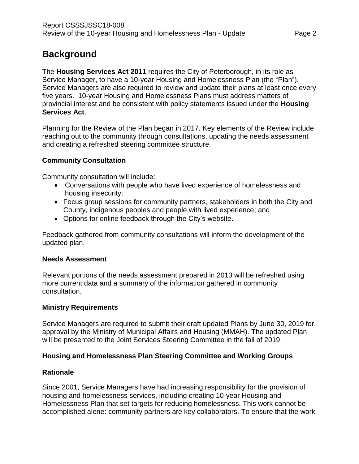# **Background**

The **Housing Services Act 2011** requires the City of Peterborough, in its role as Service Manager, to have a 10-year Housing and Homelessness Plan (the "Plan"). Service Managers are also required to review and update their plans at least once every five years. 10-year Housing and Homelessness Plans must address matters of provincial interest and be consistent with policy statements issued under the **Housing Services Act**.

Planning for the Review of the Plan began in 2017. Key elements of the Review include reaching out to the community through consultations, updating the needs assessment and creating a refreshed steering committee structure.

### **Community Consultation**

Community consultation will include:

- Conversations with people who have lived experience of homelessness and housing insecurity;
- Focus group sessions for community partners, stakeholders in both the City and County, indigenous peoples and people with lived experience; and
- Options for online feedback through the City's website.

Feedback gathered from community consultations will inform the development of the updated plan.

### **Needs Assessment**

Relevant portions of the needs assessment prepared in 2013 will be refreshed using more current data and a summary of the information gathered in community consultation.

### **Ministry Requirements**

Service Managers are required to submit their draft updated Plans by June 30, 2019 for approval by the Ministry of Municipal Affairs and Housing (MMAH). The updated Plan will be presented to the Joint Services Steering Committee in the fall of 2019.

### **Housing and Homelessness Plan Steering Committee and Working Groups**

### **Rationale**

Since 2001, Service Managers have had increasing responsibility for the provision of housing and homelessness services, including creating 10-year Housing and Homelessness Plan that set targets for reducing homelessness. This work cannot be accomplished alone: community partners are key collaborators. To ensure that the work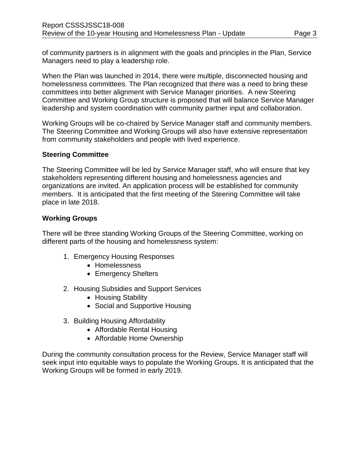of community partners is in alignment with the goals and principles in the Plan, Service Managers need to play a leadership role.

When the Plan was launched in 2014, there were multiple, disconnected housing and homelessness committees. The Plan recognized that there was a need to bring these committees into better alignment with Service Manager priorities. A new Steering Committee and Working Group structure is proposed that will balance Service Manager leadership and system coordination with community partner input and collaboration.

Working Groups will be co-chaired by Service Manager staff and community members. The Steering Committee and Working Groups will also have extensive representation from community stakeholders and people with lived experience.

#### **Steering Committee**

The Steering Committee will be led by Service Manager staff, who will ensure that key stakeholders representing different housing and homelessness agencies and organizations are invited. An application process will be established for community members. It is anticipated that the first meeting of the Steering Committee will take place in late 2018.

#### **Working Groups**

There will be three standing Working Groups of the Steering Committee, working on different parts of the housing and homelessness system:

- 1. Emergency Housing Responses
	- Homelessness
	- Emergency Shelters
- 2. Housing Subsidies and Support Services
	- Housing Stability
	- Social and Supportive Housing
- 3. Building Housing Affordability
	- Affordable Rental Housing
	- Affordable Home Ownership

During the community consultation process for the Review, Service Manager staff will seek input into equitable ways to populate the Working Groups. It is anticipated that the Working Groups will be formed in early 2019.